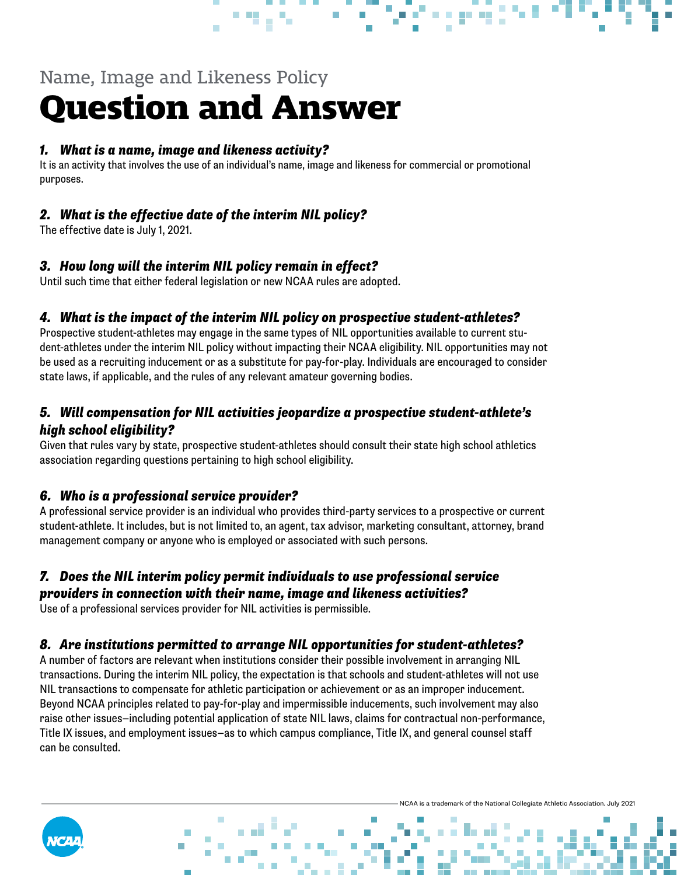# Name, Image and Likeness Policy **Question and Answer**

#### *1. What is a name, image and likeness activity?*

It is an activity that involves the use of an individual's name, image and likeness for commercial or promotional purposes.

# *2. What is the effective date of the interim NIL policy?*

The effective date is July 1, 2021.

### *3. How long will the interim NIL policy remain in effect?*

Until such time that either federal legislation or new NCAA rules are adopted.

### *4. What is the impact of the interim NIL policy on prospective student-athletes?*

Prospective student-athletes may engage in the same types of NIL opportunities available to current student-athletes under the interim NIL policy without impacting their NCAA eligibility. NIL opportunities may not be used as a recruiting inducement or as a substitute for pay-for-play. Individuals are encouraged to consider state laws, if applicable, and the rules of any relevant amateur governing bodies.

## *5. Will compensation for NIL activities jeopardize a prospective student-athlete's high school eligibility?*

Given that rules vary by state, prospective student-athletes should consult their state high school athletics association regarding questions pertaining to high school eligibility.

## *6. Who is a professional service provider?*

**NIL** NAME | IMAGE | LIKENESS

A professional service provider is an individual who provides third-party services to a prospective or current student-athlete. It includes, but is not limited to, an agent, tax advisor, marketing consultant, attorney, brand management company or anyone who is employed or associated with such persons.

#### *7. Does the NIL interim policy permit individuals to use professional service providers in connection with their name, image and likeness activities?*

Use of a professional services provider for NIL activities is permissible.

#### *8. Are institutions permitted to arrange NIL opportunities for student-athletes?*

A number of factors are relevant when institutions consider their possible involvement in arranging NIL transactions. During the interim NIL policy, the expectation is that schools and student-athletes will not use NIL transactions to compensate for athletic participation or achievement or as an improper inducement. Beyond NCAA principles related to pay-for-play and impermissible inducements, such involvement may also raise other issues—including potential application of state NIL laws, claims for contractual non-performance, Title IX issues, and employment issues—as to which campus compliance, Title IX, and general counsel staff can be consulted.



trademark of the National Collegiate Athletic Association. July 2021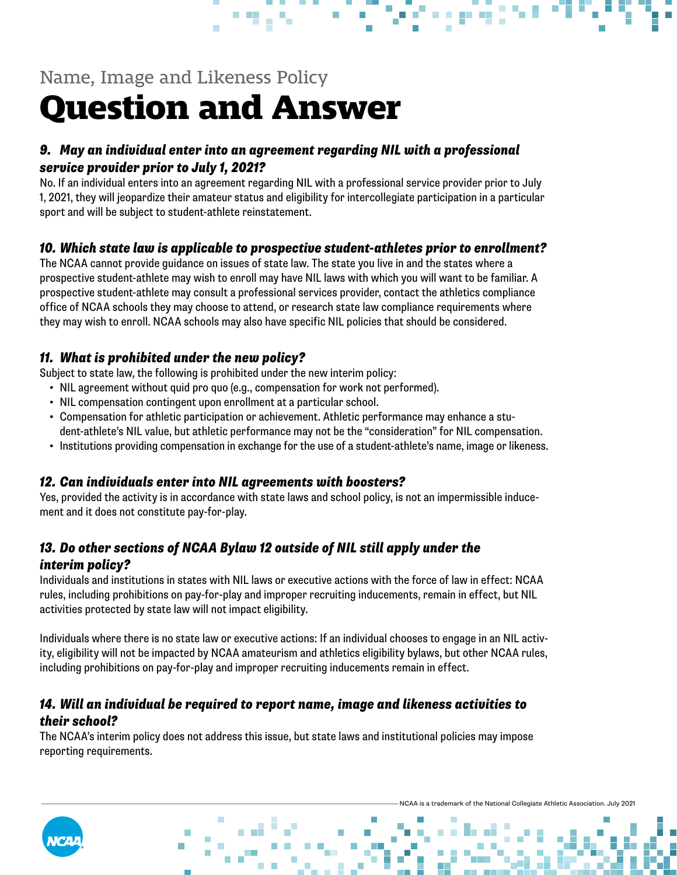# Name, Image and Likeness Policy **Question and Answer**

## *9. May an individual enter into an agreement regarding NIL with a professional service provider prior to July 1, 2021?*

No. If an individual enters into an agreement regarding NIL with a professional service provider prior to July 1, 2021, they will jeopardize their amateur status and eligibility for intercollegiate participation in a particular sport and will be subject to student-athlete reinstatement.

### *10. Which state law is applicable to prospective student-athletes prior to enrollment?*

The NCAA cannot provide guidance on issues of state law. The state you live in and the states where a prospective student-athlete may wish to enroll may have NIL laws with which you will want to be familiar. A prospective student-athlete may consult a professional services provider, contact the athletics compliance office of NCAA schools they may choose to attend, or research state law compliance requirements where they may wish to enroll. NCAA schools may also have specific NIL policies that should be considered.

## *11. What is prohibited under the new policy?*

Subject to state law, the following is prohibited under the new interim policy:

- NIL agreement without quid pro quo (e.g., compensation for work not performed).
- NIL compensation contingent upon enrollment at a particular school.
- Compensation for athletic participation or achievement. Athletic performance may enhance a student-athlete's NIL value, but athletic performance may not be the "consideration" for NIL compensation.
- Institutions providing compensation in exchange for the use of a student-athlete's name, image or likeness.

## *12. Can individuals enter into NIL agreements with boosters?*

Yes, provided the activity is in accordance with state laws and school policy, is not an impermissible inducement and it does not constitute pay-for-play.

## *13. Do other sections of NCAA Bylaw 12 outside of NIL still apply under the interim policy?*

Individuals and institutions in states with NIL laws or executive actions with the force of law in effect: NCAA rules, including prohibitions on pay-for-play and improper recruiting inducements, remain in effect, but NIL activities protected by state law will not impact eligibility.

Individuals where there is no state law or executive actions: If an individual chooses to engage in an NIL activity, eligibility will not be impacted by NCAA amateurism and athletics eligibility bylaws, but other NCAA rules, including prohibitions on pay-for-play and improper recruiting inducements remain in effect.

### *14. Will an individual be required to report name, image and likeness activities to their school?*

The NCAA's interim policy does not address this issue, but state laws and institutional policies may impose reporting requirements.

trademark of the National Collegiate Athletic Association. July 2021



**NIL** NAME | IMAGE | LIKENESS